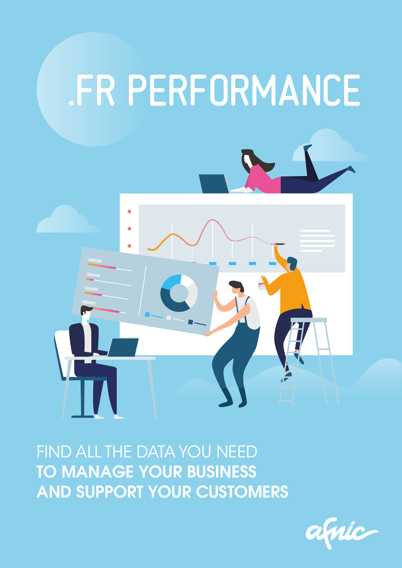

FIND ALL THE DATA YOU NEED TO MANAGE YOUR BUSINESS AND SUPPORT YOUR CUSTOMERS

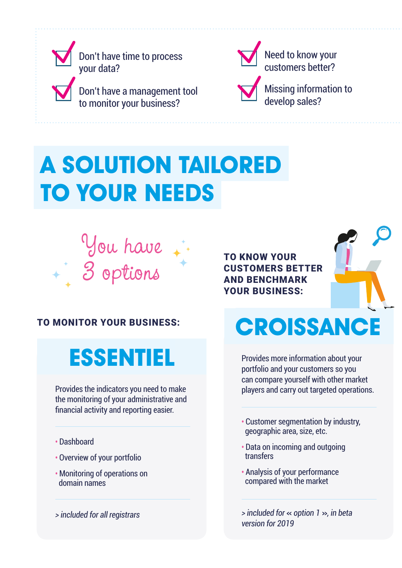

Missing information to Need to know your customers better?

# **A SOLUTION TAILORED TO YOUR NEEDS**



### TO MONITOR YOUR BUSINESS:

## **ESSENTIEL**

Provides the indicators you need to make the monitoring of your administrative and financial activity and reporting easier.

- Dashboard
- Overview of your portfolio
- Monitoring of operations on domain names

*> included for all registrars*

TO KNOW YOUR CUSTOMERS BETTER AND BENCHMARK YOUR BUSINESS:

# **CROISSANCE**

Provides more information about your portfolio and your customers so you can compare yourself with other market players and carry out targeted operations.

- Customer segmentation by industry, geographic area, size, etc.
- Data on incoming and outgoing transfers
- Analysis of your performance compared with the market
- *> included for* **«** *option 1* **»***, in beta version for 2019*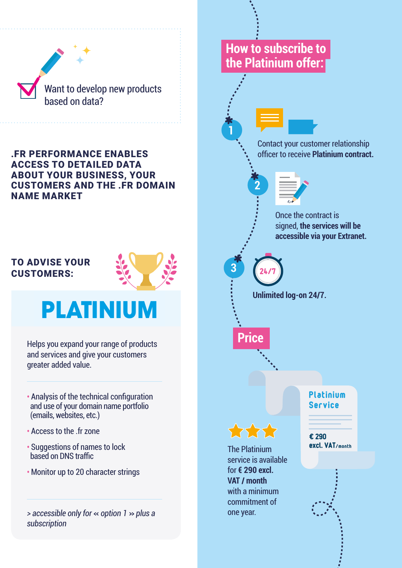

## **How to subscribe to the Platinium offer:**

Contact your customer relationship officer to receive **Platinium contract.**



Once the contract is signed, **the services will be accessible via your Extranet.**

**Unlimited log-on 24/7.**



**24/7**

#### **Platinium Service**

\*\*\*

The Platinium service is available for **€ 290 excl. VAT / month** with a minimum commitment of

**€ 290 excl. VAT/month**